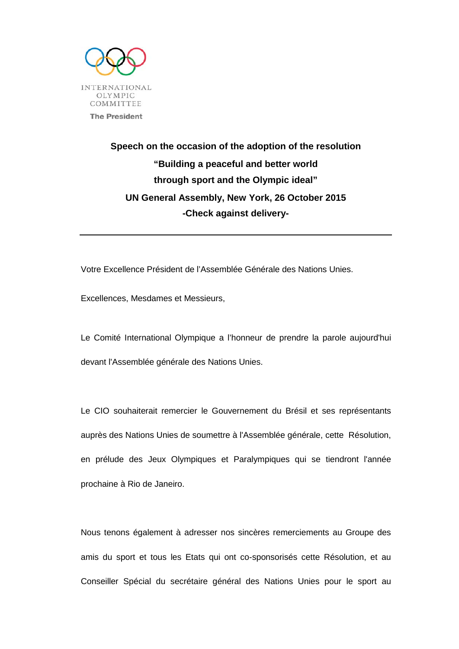

## **Speech on the occasion of the adoption of the resolution "Building a peaceful and better world through sport and the Olympic ideal" UN General Assembly, New York, 26 October 2015 -Check against delivery-**

Votre Excellence Président de l'Assemblée Générale des Nations Unies.

Excellences, Mesdames et Messieurs,

Le Comité International Olympique a l'honneur de prendre la parole aujourd'hui devant l'Assemblée générale des Nations Unies.

Le CIO souhaiterait remercier le Gouvernement du Brésil et ses représentants auprès des Nations Unies de soumettre à l'Assemblée générale, cette Résolution, en prélude des Jeux Olympiques et Paralympiques qui se tiendront l'année prochaine à Rio de Janeiro.

Nous tenons également à adresser nos sincères remerciements au Groupe des amis du sport et tous les Etats qui ont co-sponsorisés cette Résolution, et au Conseiller Spécial du secrétaire général des Nations Unies pour le sport au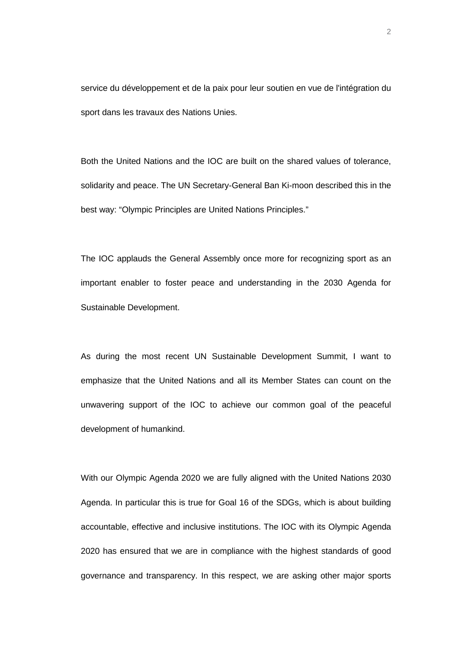service du développement et de la paix pour leur soutien en vue de l'intégration du sport dans les travaux des Nations Unies.

Both the United Nations and the IOC are built on the shared values of tolerance, solidarity and peace. The UN Secretary-General Ban Ki-moon described this in the best way: "Olympic Principles are United Nations Principles."

The IOC applauds the General Assembly once more for recognizing sport as an important enabler to foster peace and understanding in the 2030 Agenda for Sustainable Development.

As during the most recent UN Sustainable Development Summit, I want to emphasize that the United Nations and all its Member States can count on the unwavering support of the IOC to achieve our common goal of the peaceful development of humankind.

With our Olympic Agenda 2020 we are fully aligned with the United Nations 2030 Agenda. In particular this is true for Goal 16 of the SDGs, which is about building accountable, effective and inclusive institutions. The IOC with its Olympic Agenda 2020 has ensured that we are in compliance with the highest standards of good governance and transparency. In this respect, we are asking other major sports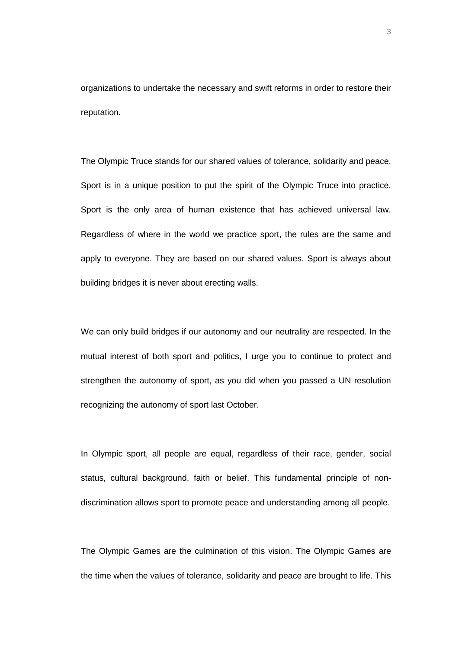organizations to undertake the necessary and swift reforms in order to restore their reputation.

The Olympic Truce stands for our shared values of tolerance, solidarity and peace. Sport is in a unique position to put the spirit of the Olympic Truce into practice. Sport is the only area of human existence that has achieved universal law. Regardless of where in the world we practice sport, the rules are the same and apply to everyone. They are based on our shared values. Sport is always about building bridges it is never about erecting walls.

We can only build bridges if our autonomy and our neutrality are respected. In the mutual interest of both sport and politics, I urge you to continue to protect and strengthen the autonomy of sport, as you did when you passed a UN resolution recognizing the autonomy of sport last October.

In Olympic sport, all people are equal, regardless of their race, gender, social status, cultural background, faith or belief. This fundamental principle of nondiscrimination allows sport to promote peace and understanding among all people.

The Olympic Games are the culmination of this vision. The Olympic Games are the time when the values of tolerance, solidarity and peace are brought to life. This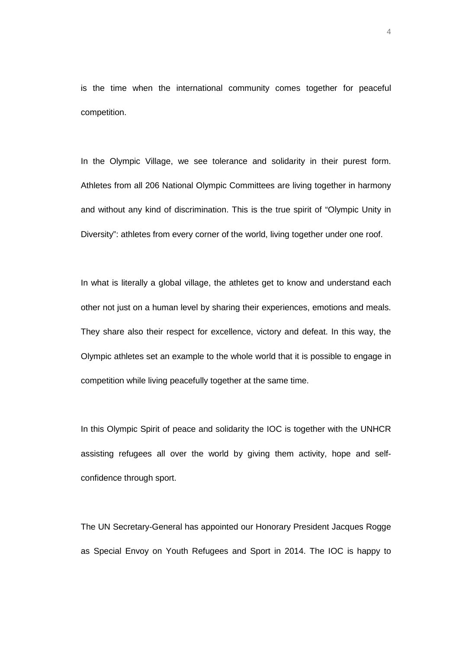is the time when the international community comes together for peaceful competition.

In the Olympic Village, we see tolerance and solidarity in their purest form. Athletes from all 206 National Olympic Committees are living together in harmony and without any kind of discrimination. This is the true spirit of "Olympic Unity in Diversity": athletes from every corner of the world, living together under one roof.

In what is literally a global village, the athletes get to know and understand each other not just on a human level by sharing their experiences, emotions and meals. They share also their respect for excellence, victory and defeat. In this way, the Olympic athletes set an example to the whole world that it is possible to engage in competition while living peacefully together at the same time.

In this Olympic Spirit of peace and solidarity the IOC is together with the UNHCR assisting refugees all over the world by giving them activity, hope and selfconfidence through sport.

The UN Secretary-General has appointed our Honorary President Jacques Rogge as Special Envoy on Youth Refugees and Sport in 2014. The IOC is happy to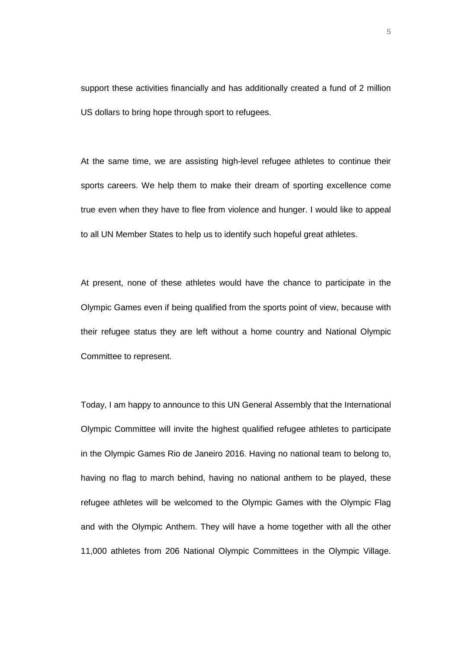support these activities financially and has additionally created a fund of 2 million US dollars to bring hope through sport to refugees.

At the same time, we are assisting high-level refugee athletes to continue their sports careers. We help them to make their dream of sporting excellence come true even when they have to flee from violence and hunger. I would like to appeal to all UN Member States to help us to identify such hopeful great athletes.

At present, none of these athletes would have the chance to participate in the Olympic Games even if being qualified from the sports point of view, because with their refugee status they are left without a home country and National Olympic Committee to represent.

Today, I am happy to announce to this UN General Assembly that the International Olympic Committee will invite the highest qualified refugee athletes to participate in the Olympic Games Rio de Janeiro 2016. Having no national team to belong to, having no flag to march behind, having no national anthem to be played, these refugee athletes will be welcomed to the Olympic Games with the Olympic Flag and with the Olympic Anthem. They will have a home together with all the other 11,000 athletes from 206 National Olympic Committees in the Olympic Village.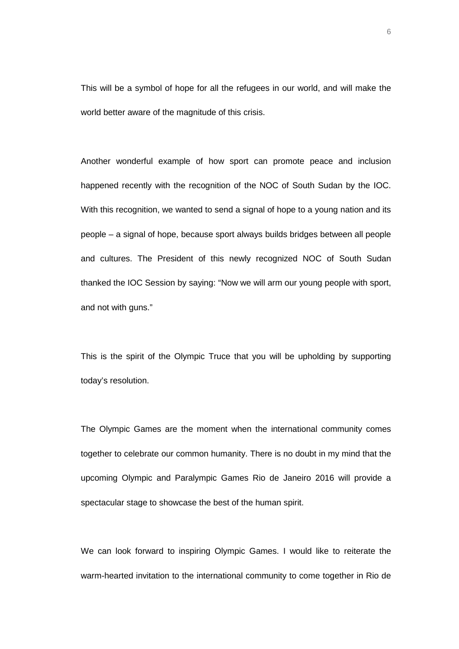This will be a symbol of hope for all the refugees in our world, and will make the world better aware of the magnitude of this crisis.

Another wonderful example of how sport can promote peace and inclusion happened recently with the recognition of the NOC of South Sudan by the IOC. With this recognition, we wanted to send a signal of hope to a young nation and its people – a signal of hope, because sport always builds bridges between all people and cultures. The President of this newly recognized NOC of South Sudan thanked the IOC Session by saying: "Now we will arm our young people with sport, and not with guns."

This is the spirit of the Olympic Truce that you will be upholding by supporting today's resolution.

The Olympic Games are the moment when the international community comes together to celebrate our common humanity. There is no doubt in my mind that the upcoming Olympic and Paralympic Games Rio de Janeiro 2016 will provide a spectacular stage to showcase the best of the human spirit.

We can look forward to inspiring Olympic Games. I would like to reiterate the warm-hearted invitation to the international community to come together in Rio de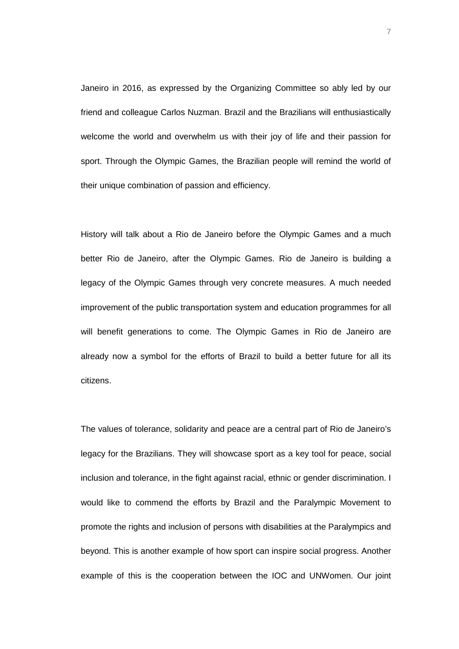Janeiro in 2016, as expressed by the Organizing Committee so ably led by our friend and colleague Carlos Nuzman. Brazil and the Brazilians will enthusiastically welcome the world and overwhelm us with their joy of life and their passion for sport. Through the Olympic Games, the Brazilian people will remind the world of their unique combination of passion and efficiency.

History will talk about a Rio de Janeiro before the Olympic Games and a much better Rio de Janeiro, after the Olympic Games. Rio de Janeiro is building a legacy of the Olympic Games through very concrete measures. A much needed improvement of the public transportation system and education programmes for all will benefit generations to come. The Olympic Games in Rio de Janeiro are already now a symbol for the efforts of Brazil to build a better future for all its citizens.

The values of tolerance, solidarity and peace are a central part of Rio de Janeiro's legacy for the Brazilians. They will showcase sport as a key tool for peace, social inclusion and tolerance, in the fight against racial, ethnic or gender discrimination. I would like to commend the efforts by Brazil and the Paralympic Movement to promote the rights and inclusion of persons with disabilities at the Paralympics and beyond. This is another example of how sport can inspire social progress. Another example of this is the cooperation between the IOC and UNWomen. Our joint